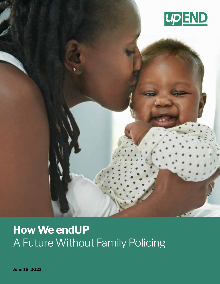

# **How We endUP** A Future Without Family Policing

**June 18, 2021**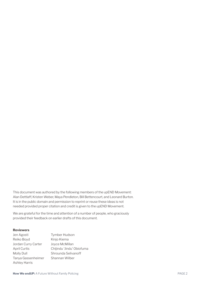This document was authored by the following members of the upEND Movement: Alan Dettlaff, Kristen Weber, Maya Pendleton, Bill Bettencourt, and Leonard Burton. It is in the public domain and permission to reprint or reuse these ideas is not needed provided proper citation and credit is given to the upEND Movement.

We are grateful for the time and attention of a number of people, who graciously provided their feedback on earlier drafts of this document.

#### **Reviewers**

| Jen Agosti           | <b>Tymber Hudson</b>      |
|----------------------|---------------------------|
| Reiko Boyd           | Kinjo Kiema               |
| Jordan Curry Carter  | Joyce McMillan            |
| <b>April Curtis</b>  | Chijindu 'Jindu' Obiofuma |
| Molly Dull           | Shrounda Selivanoff       |
| Tanya Gassenheimer   | Shannan Wilber            |
| <b>Ashley Harris</b> |                           |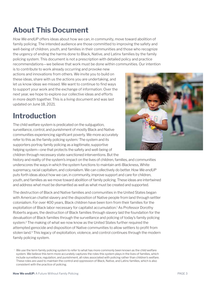#### **About This Document**

*How We endUP* offers ideas about how we can, in community, move toward abolition of family policing. The intended audience are those committed to improving the safety and well-being of children, youth, and families in their communities and those who recognize the urgency of ending the harms done to Black, Native, and Latinx families by the family policing system. This document is not a prescription with detailed policy and practice recommendations—we believe that work must be done within communities. Our intention

is to contribute to work already occurring and provoke new actions and innovations from others. We invite you to build on these ideas, share with us the actions you are undertaking, and let us know ideas we missed. We want to continue to find ways to support your work and the exchange of information. Over the next year, we hope to explore our collective ideas and efforts in more depth together. This is a living document and was last updated on June 18, 2021.

#### **Introduction**

The child welfare system is predicated on the subjugation, surveillance, control, and punishment of mostly Black and Native communities experiencing significant poverty. We more accurately refer to this as the family policing system.<sup>i</sup> The system and its supporters portray family policing as a legitimate, supportive helping system—one that protects the safety and well-being of children through necessary state-sanctioned interventions. But the

history and reality of the system's impact on the lives of children, families, and communities underscores the ways in which the system functions to maintain anti-Blackness, White supremacy, racial capitalism, and colonialism. We can collectively do better. *How We endUP* puts forth ideas about how we can, in community, improve support and care for children, youth, and families as we move toward abolition of family policing. These ideas are intertwined and address what must be dismantled as well as what must be created and supported.

The destruction of Black and Native families and communities in the United States began with American chattel slavery and the disposition of Native people from land through settler colonialism. For over 400 years, Black children have been torn from their families for the exploitation of Black labor necessary for capitalist accumulation.1 As Professor Dorothy Roberts argues, the destruction of Black families through slavery laid the foundation for the devaluation of Black families through the surveillance and policing of today's family policing system.2 The making of what we now know as the United States further required the attempted genocide and disposition of Native communities to allow settlers to profit from stolen land.<sup>3</sup> This legacy of exploitation, violence, and control continues through the modern family policing system.



i We use the term family policing system to refer to what has more commonly been known as the child welfare system. We believe this term more accurately captures the roles this system plays in the lives of families, which include surveillance, regulation, and punishment, all roles associated with policing rather than children's welfare. These roles are used to maintain the control and oppression of Black, Native, and Latinx families, which is also consistent with the practice of policing.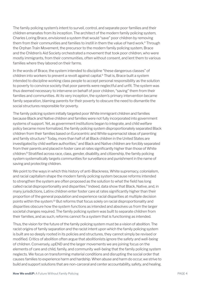The family policing system's intent to surveil, control, and separate poor families and their children emanates from its inception. The architect of the modern family policing system, Charles Loring Brace, envisioned a system that would "save" poor children by removing them from their communities and families to instill in them the value of hard work.<sup>4</sup> Through the Orphan Train Movement, the precursor to the modern family policing system, Brace and the Children's Aid Society orchestrated a movement that took poor children, who were mostly immigrants, from their communities, often without consent, and lent them to various families where they labored on their farms.

In the words of Brace, the system intended to discipline "these dangerous classes" of children into workers to prevent a revolt against capital.<sup>5</sup> That is, Brace built a system intended to discipline working class people to accept personal responsibility as the solution to poverty to convince society that poor parents were neglectful and unfit. The system was thus deemed necessary to intervene on behalf of poor children, "saving" them from their families and communities. At its very inception, the system's primary intervention became family separation, blaming parents for their poverty to obscure the need to dismantle the social structures responsible for poverty.

The family policing system initially targeted poor White immigrant children and families because Black and Native children and families were not fully incorporated into government systems of support. Yet, as government institutions began to integrate, and child welfare policy became more formalized, the family policing system disproportionately separated Black children from their families based on Eurocentric and White supremacist ideas of parenting and family structure.<sup>6</sup> Today, more than half of all Black children in the United States are investigated by child welfare authorities,<sup>7</sup> and Black and Native children are forcibly separated from their parents and placed in foster care at rates significantly higher than those of White children.8 Stratified across race, class, gender, disability, and citizenship, the family policing system systematically targets communities for surveillance and punishment in the name of saving and protecting children.

We point to the ways in which this history of anti-Blackness, White supremacy, colonialism, and racial capitalism shape the modern family policing system because reforms intended to strengthen the system are often proposed as the solution to what the field has long called racial disproportionality and disparities.<sup>9</sup> Indeed, data show that Black, Native, and, in many jurisdictions, Latinx children enter foster care at rates significantly higher than their proportion of the general population and experience racial disparities at multiple decision points within the system.10 But reforms that focus solely on racial disproportionality and disparities obscure how the system functions as intended and absolves us from the larger societal changes required. The family policing system was built to separate children from their families, and as such, reforms cannot fix a system that is functioning as intended.

Thus, the vision for the future of the family policing system must be a vision of abolition. The racist origins of family separation and the racist intent upon which the family policing system is built are so deeply rooted in its policies and structures, they cannot simply be revised or modified. Critics of abolition often argue that abolitionists ignore the safety and well-being of children. Conversely, upEND and the larger movements we are joining focus on the elements of care and child, family, and community well-being that the family policing system neglects. We focus on transforming material conditions and disrupting the social order that causes families to experience harm and hardship. When abuse and harm do occur, we strive to build and support solutions that are non-carceral and center accountability, safety, and healing.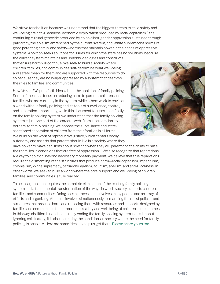We strive for abolition because we understand that the biggest threats to child safety and well-being are anti-Blackness, economic exploitation produced by racial capitalism,<sup>11</sup> the continuing cultural genocide produced by colonialism, gender oppression sustained through patriarchy, the ableism entrenched by the current system, and White supremacist norms of good parenting, family, and safety—norms that maintain power in the hands of oppressive systems. Abolition seeks solutions for issues for which the state has no solutions, because

the current system maintains and upholds ideologies and constructs that ensure harm will continue. We seek to build a society where children, families, and communities self-determine what well-being and safety mean for them and are supported with the resources to do so because they are no longer oppressed by a system that destroys their ties to families and communities.

*How We endUP* puts forth ideas about the abolition of family policing. Some of the ideas focus on reducing harm to parents, children, and families who are currently in the system, while others work to envision a world without family policing and its tools of surveillance, control, and separation. Importantly, while this document focuses specifically on the family policing system, we understand that the family policing system is just one part of the carceral web. From incarceration, to borders, to family policing, we oppose the surveillance and statesanctioned separation of children from their families in all forms. We build on the work of reproductive justice, which centers bodily autonomy and asserts that parents should live in a society where they

have power to make decisions about how and when they will parent and the ability to raise their families in conditions that are free of oppression.12 We also recognize that reparations are key to abolition; beyond necessary monetary payment, we believe that true reparations require the dismantling of the structures that produce harm—racial capitalism, imperialism, colonialism, White supremacy, patriarchy, ageism, adultism, abelism, and anti-Blackness. In other words, we seek to build a world where the care, support, and well-being of children, families, and communities is fully realized.

To be clear, abolition requires the complete elimination of the existing family policing system and a fundamental transformation of the ways in which society supports children, families, and communities. Doing so is a process that involves many people and an array of efforts and organizing. Abolition involves simultaneously dismantling the racist policies and structures that produce harm and replacing them with resources and supports designed by families and communities that promote the safety and well-being of children in their homes. In this way, abolition is not about simply ending the family policing system, nor is it about ignoring child safety; it is about creating the conditions in society where the need for family policing is obsolete. Here are some ideas to help us get there. [Please share yours too](https://upendmovement.org/share-your-thoughts/).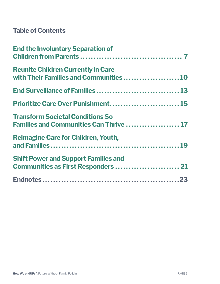#### **Table of Contents**

| <b>End the Involuntary Separation of</b>                                           |
|------------------------------------------------------------------------------------|
| <b>Reunite Children Currently in Care</b><br>with Their Families and Communities10 |
| End Surveillance of Families 13                                                    |
| Prioritize Care Over Punishment 15                                                 |
| <b>Transform Societal Conditions So</b><br>Families and Communities Can Thrive  17 |
| <b>Reimagine Care for Children, Youth,</b>                                         |
| <b>Shift Power and Support Families and</b><br>Communities as First Responders  21 |
|                                                                                    |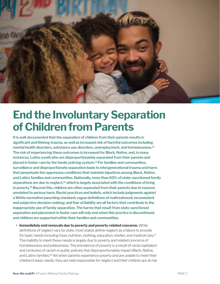<span id="page-6-0"></span>

# **End the Involuntary Separation of Children from Parents**

**It is well-documented that the separation of children from their parents results in significant and lifelong trauma, as well as increased risk of harmful outcomes including mental health disorders, substance use disorders, unemployment, and homelessness.<sup>13</sup> The risk of experiencing these outcomes is increased for Black, Native, and, in many instances, Latinx youth who are disproportionately separated from their parents and placed in foster care by the family policing system.14 For families and communities, surveillance and disproportionate separation leads to intergenerational trauma and harm that perpetuate the oppressive conditions that maintain injustices among Black, Native, and Latinx families and communities. Nationally, more than 60% of state-sanctioned family separations are due to neglect,15 which is largely associated with the conditions of living in poverty.16 Beyond this, children are often separated from their parents due to reasons unrelated to serious harm. Racist practices and beliefs, which include judgments against a White normative parenting standard; vague definitions of maltreatment; inconsistent and subjective decision-making; and fear of liability are all factors that contribute to the inappropriate use of family separation. The harms that result from state-sanctioned separation and placement in foster care will only end when this practice is discontinued, and children are supported within their families and communities.**

**• Immediately end removals due to poverty and poverty-related concerns.**While definitions of neglect vary by state, most states define neglect as a failure to provide for basic needs including food, nutrition, clothing, education, shelter, and medical care.17 The inability to meet these needs is largely due to poverty and related concerns of homelessness and joblessness. The prevalence of poverty is a result of racial capitalism and centuries of racism in public policies that disproportionately impact Black, Native, and Latinx families.18 Yet when parents experience poverty and are unable to meet their children's basic needs, they are held responsible for neglect and their children are at risk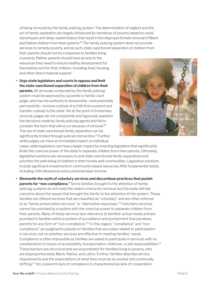of being removed by the family policing system. The determination of neglect and the act of family separation are largely influenced by narratives of poverty based on racial stereotypes and deep-seated biases that result in the disproportionate removal of Black and Native children from their parents.<sup>19</sup> The family policing system does not provide services to remedy poverty, and as such, state-sanctioned separation of children from

their parents should not be a response to families living in poverty. Rather, parents should have access to the resources they need to ensure healthy development for themselves and for their children, including food, housing, and other direct material support.

**• Urge state legislators and courts to oppose and limit the state-sanctioned separation of children from their parents.** All removals conducted by the family policing system must be approved by a juvenile or family court judge, who has the authority to temporarily—and potentially permanently—remove custody of a child from a parent and transfer custody to the state. Yet at the point of involuntary removal, judges do not consistently and rigorously question the decisions made by family policing agents and fail to consider the harm that will occur because of removal.20 The use of state-sanctioned family separation can be significantly limited through judicial intervention.<sup>21</sup> Further, while judges can have an immediate impact on individual



cases, state legislators can have a larger impact by enacting legislation that significantly limits the coercive power of the state to separate children from their parents. Ultimately, legislative solutions are necessary to end state-sanctioned family separations and prioritize the well-being of children in their homes and communities. Legislative solutions include significant investments in community-based resources AND fundamental needs, including child allowances and a universal basic income.

**• Dismantle the myth of voluntary services and discontinue practices that punish parents for "non-compliance."** Some families brought to the attention of family policing systems do not meet the state's criteria for removal, but the state still has concerns about the issues that brought the family to the attention of the system. These families are offered services that are classified as "voluntary" and are often referred to as "family preservation services" or "alternative responses."22 Voluntary services cannot be provided by a system with the coercive power to separate children from their parents. Many of these services lack relevance to families' actual needs and are provided to families within a system of surveillance and punishment that penalizes parents for any form of "non-compliance."23 In this regard, "compliance" and "noncompliance" are judgments passed on families that are solely related to participation in services, not on whether services are effective in meeting families' needs. Compliance is often impossible as families are asked to participate in services with no consideration to issues of accessibility, transportation, childcare, or job responsibilities.<sup>24</sup> These barriers are structural and are exacerbated for families living in poverty, who are disproportionately Black, Native, and Latinx. Further, families describe service requirements and the expectations of what they must do as unclear and continually shifting.25 Yet, a parent's lack of compliance is characterized as lack of cooperation,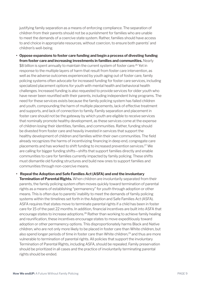justifying family separation as a means of enforcing compliance. The separation of children from their parents should not be a punishment for families who are unable to meet the demands of a coercive state system. Rather, families should have access to and choice in appropriate resources, without coercion, to ensure both parents' and children's well-being.

**• Oppose expansions to foster care funding and begin a process of divesting funding from foster care and increasing investments in families and communities.** Nearly \$8 billion is spent annually to maintain the current system of foster care.<sup>26</sup> Yet in response to the multiple layers of harm that result from foster care intervention, as well as the adverse outcomes experienced by youth aging out of foster care, family policing systems often advocate for increased funding for foster care services, including specialized placement options for youth with mental health and behavioral health challenges. Increased funding is also requested to provide services for older youth who have never been reunified with their parents, including independent living programs. The need for these services exists because the family policing system has failed children and youth, compounding the harm of multiple placements, lack of effective treatment and supports, and lack of connection to family. Family separation and placement in foster care should not be the gateway by which youth are eligible to receive services that nominally promote healthy development, as these services come at the expense of children losing their identities, families, and communities. Rather, funding should be divested from foster care and heavily invested in services that support the healthy development of children and families within their own communities. The field already recognizes the harms of incentivizing financing in deep end, congregate care placements and has worked to shift funding to increased prevention services.27 We are calling for bigger funding shifts—shifts that support families directly and enable communities to care for families currently impacted by family policing. These shifts must dismantle old funding structures and build new ones to support families and communities through non-coercive means.

#### **• Repeal the Adoption and Safe Families Act (ASFA) and end the involuntary**

**Termination of Parental Rights.** When children are involuntarily separated from their parents, the family policing system often moves quickly toward termination of parental rights as a means of establishing "permanency" for youth through adoption or other means. This is often due to parents' inability to meet the demands of family policing systems within the timelines set forth in the Adoption and Safe Families Act (ASFA). ASFA requires that states move to terminate parental rights if a child has been in foster care for 15 of the past 22 months. In addition, financial incentives are built into ASFA that encourage states to increase adoptions.28 Rather than working to achieve family healing and reunification, these incentives encourage states to move expeditiously toward adoption or other permanency options. This disproportionately harms Black and Native children, who are not only more likely to be placed in foster care than White children, but also spend longer periods of time in foster care than White children,<sup>29</sup> and thus are more vulnerable to termination of parental rights. All policies that support the involuntary Termination of Parental Rights, including ASFA, should be repealed. Family preservation should be prioritized in all cases and the practice of involuntarily terminating parental rights should be ended.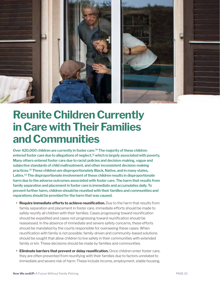<span id="page-9-0"></span>

# **Reunite Children Currently in Care with Their Families and Communities**

**Over 420,000 children are currently in foster care.30 The majority of these children entered foster care due to allegations of neglect,31 which is largely associated with poverty. Many others entered foster care due to racist policies and decision-making, vague and subjective standards of child maltreatment, and other inconsistent decision-making practices.32 These children are disproportionately Black, Native, and in many states, Latinx.33 The disproportionate involvement of these children results in disproportionate harm due to the adverse outcomes associated with foster care. The harm that results from family separation and placement in foster care is immediate and accumulates daily. To prevent further harm, children should be reunited with their families and communities and reparations should be provided for the harm that was caused.** 

- **• Require immediate efforts to achieve reunification.** Due to the harm that results from family separation and placement in foster care, immediate efforts should be made to safely reunify all children with their families. Cases progressing toward reunification should be expedited and cases not progressing toward reunification should be reassessed. In the absence of immediate and severe safety concerns, these efforts should be mandated by the courts responsible for overseeing these cases. When reunification with family is not possible, family-driven and community-based solutions should be sought that allow children to live safely in their communities with extended family or kin. These decisions should be made by families and communities.
- **• Eliminate barriers that prevent or delay reunification.** Once children enter foster care, they are often prevented from reunifying with their families due to factors unrelated to immediate and severe risk of harm. These include income, employment, stable housing,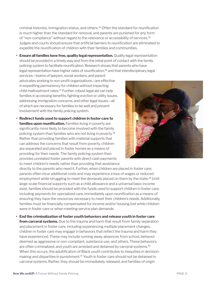criminal histories, immigration status, and others.34 Often the standard for reunification is much higher than the standard for removal, and parents are punished for any form of "non-compliance" without regard to the relevance or accessibility of services.35 Judges and courts should ensure that artificial barriers to reunification are eliminated to expedite the reunification of children with their families and communities.

**• Ensure all families have free, quality legal representation.** Quality legal representation should be provided in a timely way and from the initial point of contact with the family policing system to facilitate reunification. Research shows that parents who have legal representation have higher rates of reunification,<sup>36</sup> and that interdisciplinary legal

services—teams of lawyers, social workers, and parent advocates working in non-profit organizations—are effective in expediting permanency for children without impacting child maltreatment rates.<sup>37</sup> Further, robust legal aid can help families in accessing benefits, fighting eviction or utility issues, addressing immigration concerns, and other legal issues—all of which are necessary for families to be well and prevent involvement with the family policing system.

**• Redirect funds used to support children in foster care to families upon reunification.** Families living in poverty are significantly more likely to become involved with the family policing system than families who are not living in poverty.38 Rather than providing families with material supports that can address the concerns that result from poverty, children are separated and placed in foster homes as a means of providing for their needs. The family policing system then provides unrelated foster parents with direct cash payments to meet children's needs, rather than providing that assistance

directly to the parents who need it. Further, when children are placed in foster care, parents often incur additional costs and may experience a loss of wages or reduced employment while struggling to meet the demands placed on them by the state.<sup>39</sup> Until large-scale financial supports such as a child allowance and a universal basic income exist, families should be provided with the funds used to support children in foster care, including payments for specialized care, immediately upon reunification as a means of ensuring they have the resources necessary to meet their children's needs. Additionally, families must be financially compensated for income and/or housing lost while children were in foster care or when meeting service plan demands.

**• End the criminalization of foster youth behaviors and release youth in foster care from carceral systems.** Due to the trauma and harm that result from family separation and placement in foster care, including experiencing multiple placement changes, children in foster care may engage in behaviors that reflect the trauma and harm they have experienced. These may include running away, absences from school, behavior deemed as aggressive or non-compliant, substance use, and others. These behaviors are often criminalized, and youth are arrested and detained by carceral systems.<sup>40</sup> When this occurs, the adultification of Black youth contributes to inequities in decisionmaking and disparities in punishment.41 Youth in foster care should not be detained in carceral systems. Rather, they should be immediately released, and families of origin

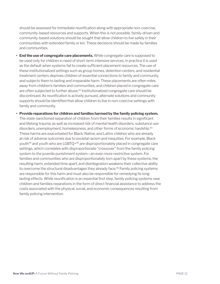should be assessed for immediate reunification along with appropriate non-coercive, community-based resources and supports. When this is not possible, family-driven and community-based solutions should be sought that allow children to live safely in their communities with extended family or kin. These decisions should be made by families and communities.

- **• End the use of congregate care placements.** While congregate care is supposed to be used only for children in need of short-term intensive services, in practice it is used as the default when systems fail to create sufficient placement resources. The use of these institutionalized settings such as group homes, detention centers, and residential treatment centers deprives children of essential connections to family and community, and subjects them to lasting and irreparable harm. These placements are often miles away from children's families and communities, and children placed in congregate care are often subjected to further abuse.<sup>42</sup> Institutionalized congregate care should be discontinued. As reunification is actively pursued, alternate solutions and community supports should be identified that allow children to live in non-coercive settings with family and community.
- **• Provide reparations for children and families harmed by the family policing system.** The state-sanctioned separation of children from their families results in significant and lifelong trauma, as well as increased risk of mental health disorders, substance use disorders, unemployment, homelessness, and other forms of economic hardship.<sup>43</sup> These harms are exacerbated for Black, Native, and Latinx children who are already at risk of adverse outcomes due to societal racism and inequities. For example, Black youth44 and youth who are LGBTQ+45 are disproportionately placed in congregate care settings, which correlates with disproportionate "crossover" from the family policing system to the juvenile punishment system—an even more restrictive system. For families and communities who are disproportionately torn apart by these systems, the resulting harm, extended time apart, and disintegration weakens their collective ability to overcome the structural disadvantages they already face.46 Family policing systems are responsible for this harm and must also be responsible for remedying its longlasting effects. While reunification is an essential first step, family policing systems owe children and families reparations in the form of direct financial assistance to address the costs associated with the physical, social, and economic consequences resulting from family policing intervention.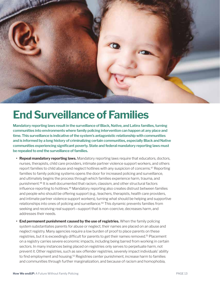<span id="page-12-0"></span>

## **End Surveillance of Families**

**Mandatory reporting laws result in the surveillance of Black, Native, and Latinx families, turning communities into environments where family policing intervention can happen at any place and time. This surveillance is indicative of the system's antagonistic relationship with communities and is informed by a long history of criminalizing certain communities, especially Black and Native communities experiencing significant poverty. State and federal mandatory reporting laws must be repealed to end the surveillance of families.** 

- **• Repeal mandatory reporting laws.** Mandatory reporting laws require that educators, doctors, nurses, therapists, child care providers, intimate partner violence support workers, and others report families to child abuse and neglect hotlines with any suspicion of concerns.<sup>47</sup> Reporting families to family policing systems opens the door for increased policing and surveillance, and ultimately begins the process through which families experience harm, trauma, and punishment.48 It is well documented that racism, classism, and other structural factors influence reporting to hotlines.49 Mandatory reporting also creates distrust between families and people who should be offering support (e.g., teachers, therapists, health care providers, and intimate partner violence support workers), turning what should be helping and supportive relationships into ones of policing and surveillance.50 This dynamic prevents families from seeking and receiving real support—support that is non-coercive, decreases harm, and addresses their needs.
- **• End permanent punishment caused by the use of registries.** When the family policing system substantiates parents for abuse or neglect, their names are placed on an abuse and neglect registry. Many agencies require a low burden of proof to place parents on these registries, but it is exceedingly difficult for parents to get their names removed.51 Placement on a registry carries severe economic impacts, including being barred from working in certain sectors. In many instances being placed on registries only serves to perpetuate harm, not prevent it. Other registries, such as sex offender registries, severely impact individuals' ability to find employment and housing. $52$  Registries center punishment, increase harm to families and communities through further marginalization, and because of racism and homophobia,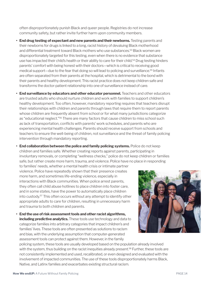often disproportionately punish Black and queer people. Registries do not increase community safety, but rather invite further harm upon community members.

- **• End drug testing of expectant and new parents and their newborns.** Testing parents and their newborns for drugs is linked to a long, racist history of devaluing Black motherhood and differential treatment toward Black mothers who use substances.53 Black women are disproportionately targeted for this testing, even when there is no evidence that substance use has impacted their child's health or their ability to care for their child.<sup>54</sup> Drug testing hinders parents' comfort with being honest with their doctors—which is critical to receiving good medical support—due to the fear that doing so will lead to policing and surveillance.55 Infants are often separated from their parents at the hospital, which is detrimental to the bond with their parents and healthy development. This racist practice does not keep children safe and transforms the doctor-patient relationship into one of surveillance instead of care.
- **• End surveillance by educators and other educator personnel.** Teachers and other educators are trusted adults who should nurture children and work with families to support children's healthy development. Too often, however, mandatory reporting requires that teachers disrupt their relationships with children and parents through laws that require them to report parents whose children are frequently absent from school or for what many jurisdictions categorize as "educational neglect."56 There are many factors that cause children to miss school such as lack of transportation, conflicts with parents' work schedules, and parents who are experiencing mental health challenges. Parents should receive support from schools and teachers to ensure the well-being of children, not surveillance and the threat of family policing intervention through mandatory reporting.
- **• End collaboration between the police and family policing systems.** Police do not keep children and families safe. Whether creating reports against parents, participating in involuntary removals, or completing "wellness checks," police do not keep children or families safe, but rather create more harm, trauma, and violence. Police have no place in responding

to families' needs, whether a mental health crisis or intimate partner violence. Police have repeatedly shown that their presence creates more harm, and sometimes life-ending violence, especially in interactions with Black communities. When police arrest parents, they often call child abuse hotlines to place children into foster care, and in some states, have the power to automatically place children into custody.57 This often occurs without any attempt to identify other appropriate adults to care for children, resulting in unnecessary harm and trauma to both children and parents.

**• End the use of risk assessment tools and other racist algorithms, including predictive analytics.** These tools use technology and data to categorize families into arbitrary categories that impact children's and families' lives. These tools are often presented as solutions to racism and bias, with the underlying assumption that computer-generated assessment tools can protect against them. However, in the family



policing system, these tools are usually developed based on the population already involved with the system, thus building on the racist inequities already present.<sup>58</sup> Further, these tools are not consistently implemented and used, recalibrated, or even designed and evaluated with the involvement of impacted communities. The use of these tools disproportionately harms Black, Native, and Latinx families and exacerbates existing structural racism.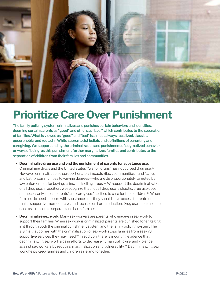<span id="page-14-0"></span>

## **Prioritize Care Over Punishment**

**The family policing system criminalizes and punishes certain behaviors and identities, deeming certain parents as "good" and others as "bad," which contributes to the separation of families. What is viewed as "good" and "bad" is almost always racialized, classist, queerphobic, and rooted in White supremacist beliefs and definitions of parenting and caregiving. We support ending the criminalization and punishment of stigmatized behavior or ways of being, as this punishment further marginalizes families and contributes to the separation of children from their families and communities.** 

- **• Decriminalize drug use and end the punishment of parents for substance use.** Criminalizing drugs and the United States' "war on drugs" has not curbed drug use.59 However, criminalization disproportionately impacts Black communities—and Native and Latinx communities to varying degrees—who are disproportionately targeted by law enforcement for buying, using, and selling drugs. $60$  We support the decriminalization of all drug use. In addition, we recognize that not all drug use is chaotic; drug use does not necessarily impair parents' and caregivers' abilities to care for their children.<sup>61</sup> When families do need support with substance use, they should have access to treatment that is supportive, non-coercive, and focuses on harm reduction. Drug use should not be used as a reason to separate and harm families.
- **• Decriminalize sex work.** Many sex workers are parents who engage in sex work to support their families. When sex work is criminalized, parents are punished for engaging in it through both the criminal punishment system and the family policing system. The stigma that comes with the criminalization of sex work stops families from seeking supportive services they may need.<sup>62</sup> In addition, there is mounting evidence that decriminalizing sex work aids in efforts to decrease human trafficking and violence against sex workers by reducing marginalization and vulnerability.<sup>63</sup> Decriminalizing sex work helps keep families and children safe and together.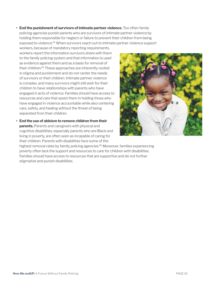**• End the punishment of survivors of intimate partner violence.** Too often family policing agencies punish parents who are survivors of intimate partner violence by holding them responsible for neglect or failure to prevent their children from being exposed to violence.<sup>64</sup> When survivors reach out to intimate partner violence support

workers, because of mandatory reporting requirements, workers report the information survivors share with them to the family policing system and that information is used as evidence against them and as a basis for removal of their children.65 These approaches are inherently rooted in stigma and punishment and do not center the needs of survivors or their children. Intimate partner violence is complex, and many survivors might still wish for their children to have relationships with parents who have engaged in acts of violence. Families should have access to resources and care that assist them in holding those who have engaged in violence accountable while also centering care, safety, and healing without the threat of being separated from their children.

**• End the use of ableism to remove children from their parents.** Parents and caregivers with physical and cognitive disabilities, especially parents who are Black and living in poverty, are often seen as incapable of caring for their children. Parents with disabilities face some of the



highest removal rates by family policing agencies.<sup>66</sup> Moreover, families experiencing poverty often lack the support and resources to care for children with disabilities. Families should have access to resources that are supportive and do not further stigmatize and punish disabilities.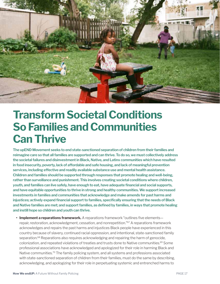<span id="page-16-0"></span>

### **Transform Societal Conditions So Families and Communities Can Thrive**

**The upEND Movement seeks to end state-sanctioned separation of children from their families and reimagine care so that all families are supported and can thrive. To do so, we must collectively address the societal failures and disinvestment in Black, Native, and Latinx communities which have resulted in food insecurity, poverty, lack of affordable and safe housing, and lack of meaningful prevention services, including effective and readily available substance use and mental health assistance. Children and families should be supported through responses that promote healing and well-being, rather than surveillance and punishment. This involves creating societal conditions where children, youth, and families can live safely, have enough to eat, have adequate financial and social supports, and have equitable opportunities to thrive in strong and healthy communities. We support increased investments in families and communities that acknowledge and make amends for past harms and injustices; actively expand financial support to families, specifically ensuring that the needs of Black and Native families are met; and support families, as defined by families, in ways that promote healing and instill hope so children and youth can thrive.** 

**• Implement a reparations framework.** A reparations framework "outlines five elements repair, restoration, acknowledgment, cessation, and nonrepetition."67 A reparations framework acknowledges and repairs the past harms and injustices Black people have experienced in this country because of slavery, continued racial oppression, and intentional, state-sanctioned family separation.<sup>68</sup> Reparations also requires acknowledging and repairing the harm of genocide, colonization, and repeated violations of treaties and trusts done to Native communities.<sup>69</sup> Some professional associations have acknowledged and apologized for their role in harming Black and Native communities.<sup>70</sup> The family policing system, and all systems and professions associated with state-sanctioned separation of children from their families, must do the same by describing, acknowledging, and apologizing for their role in perpetuating systemic and entrenched harms to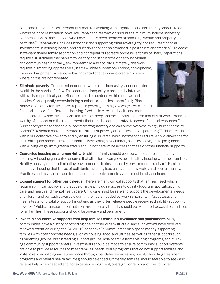Black and Native families. Reparations requires working with organizers and community leaders to detail what repair and restoration looks like. Repair and restoration should at a minimum include monetary compensation to Black people who have actively been deprived of amassing wealth and property over centuries.71 Reparations includes honoring and supporting tribal sovereignty and requires financial investments in housing, health, and education services as promised in past trusts and treaties.<sup>72</sup> To cease state-sanctioned family separation and not repeat or recreate oppressive forms of "help," reparations require a sustainable mechanism to identify and stop harms done to individuals

and communities financially, environmentally, and socially. Ultimately, this work requires dismantling oppressive systems—White supremacy, racism, homophobia, transphobia, patriarchy, xenophobia, and racial capitalism—to create a society where harms are not repeated.

**• Eliminate poverty**. Our current economic system has increasingly concentrated wealth in the hands of a few. This economic inequality is profoundly intertwined with racism, specifically anti-Blackness, and embedded within our laws and policies. Consequently, overwhelming numbers of families—specifically Black, Native, and Latinx families—are trapped in poverty, earning low wages, with limited financial support for affordable housing, food, child care, and health and mental



health care. How society supports families has deep and racist roots in determinations of who is deemed worthy of support and the requirements that must be demonstrated to access financial resources.<sup>73</sup> Current programs for financial support are fragmentary and can prove overwhelmingly burdensome to access.<sup>74</sup> Research has documented the stress of poverty on families and on parenting.<sup>75</sup> This stress is within our collective power to end by ensuring a universal basic income for all adults, a child allowance for each child, paid parental leave for families welcoming new children, paid sick leave, and a job guarantee with a living wage. Immigration status should not determine access to these or other financial supports.

- **• Guarantee housing as a human right.** No child or family should ever be without safe and healthy housing. A housing guarantee ensures that all children can grow up in healthy housing with their families. Healthy housing means eliminating environmental toxins caused by environmental racism.76 Families must have housing that is free of pollutants including lead paint, unhealthy water, and poor air quality. Practices such as eviction and foreclosure that create homelessness must be discontinued.
- **• Expand support for other basic needs.** There are many critical supports that families need, which require significant policy and practice changes, including access to quality food, transportation, child care, and health and mental health care. Child care must be safe and support the developmental needs of children, and be readily available during the hours needed by working parents.77 Asset tests and means tests for disability support must end as they often relegate people receiving disability support to poverty.78 Public transportation that is environmentally friendly should be expanded, accessible, and free for all families. These supports should be ongoing and permanent.
- **• Invest in non-coercive supports that help families without surveillance and punishment.** Many communities have a history of providing one another with mutual aid, and such efforts have received renewed attention during the COVID-19 pandemic.79 Communities also spend money supporting families with both concrete needs, such as housing, food, and utilities, as well as other supports such as parenting groups, breastfeeding support groups, non-coercive home visiting programs, and multiage community support centers. Investments should be made to ensure community support systems are able to provide resources to meet families' needs, while programs that do not support families and instead rely on policing and surveillance through mandated services (e.g., involuntary drug treatment programs and mental health facilities) should be ended. Ultimately, families should feel able to seek and receive help when needed and not experience judgment, oversight, or removal of their children.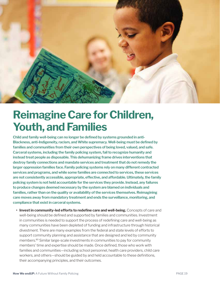<span id="page-18-0"></span>

# **Reimagine Care for Children, Youth, and Families**

**Child and family well-being can no longer be defined by systems grounded in anti-Blackness, anti-Indigeneity, racism, and White supremacy. Well-being must be defined by families and communities from their own perspectives of being loved, valued, and safe. Carceral systems, including the family policing system, fail to recognize humanity and instead treat people as disposable. This dehumanizing frame drives interventions that destroy family connections and mandate services and treatment that do not remedy the larger oppression families face. Family policing systems rely on many different contracted services and programs, and while some families are connected to services, these services are not consistently accessible, appropriate, effective, and affordable. Ultimately, the family policing system is not held accountable for the services they provide. Instead, any failures to produce changes deemed necessary by the system are blamed on individuals and families, rather than on the quality or availability of the services themselves. Reimagining care moves away from mandatory treatment and ends the surveillance, monitoring, and compliance that exist in carceral systems.** 

**• Invest in community-led efforts to redefine care and well-being.** Concepts of care and well-being should be defined and supported by families and communities. Investment in communities is needed to support the process of redefining care and well-being as many communities have been depleted of funding and infrastructure through historical divestment. There are many examples from the federal and state levels of efforts to support community planning and assistance that are designed and led by community members.80 Similar large-scale investments in communities to pay for community members' time and expertise should be made. Once defined, those who work with families and communities—including school personnel, health care providers, child care workers, and others—should be guided by and held accountable to these definitions, their accompanying principles, and their outcomes.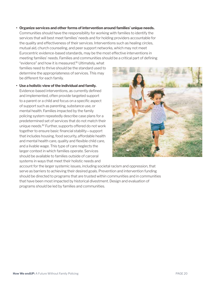**• Organize services and other forms of intervention around families' unique needs.**

Communities should have the responsibility for working with families to identify the services that will best meet families' needs and for holding providers accountable for the quality and effectiveness of their services. Interventions such as healing circles, mutual aid, church counseling, and peer support networks, which may not meet Eurocentric evidence-based standards, may be the most effective interventions in meeting families' needs. Families and communities should be a critical part of defining

"evidence" and how it is measured.81 Ultimately, what families need to thrive should be the standard used to determine the appropriateness of services. This may be different for each family.

**• Use a holistic view of the individual and family.** Evidence-based interventions, as currently defined and implemented, often provide targeted support to a parent or a child and focus on a specific aspect of support such as parenting, substance use, or mental health. Families impacted by the family policing system repeatedly describe case plans for a predetermined set of services that do not match their unique needs.82 Further, supports offered do not work together to ensure basic financial stability—support that includes housing, food security, affordable health and mental health care, quality and flexible child care, and a livable wage. This type of care neglects the larger context in which families operate. Services should be available to families outside of carceral systems in ways that meet their holistic needs and



account for the larger systemic issues, including societal racism and oppression, that serve as barriers to achieving their desired goals. Prevention and intervention funding should be directed to programs that are trusted within communities and in communities that have been most impacted by historical divestment. Design and evaluation of programs should be led by families and communities.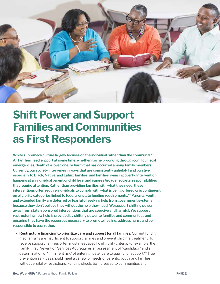<span id="page-20-0"></span>

# **Shift Power and Support Families and Communities as First Responders**

**White supremacy culture largely focuses on the individual rather than the communal.<sup>83</sup> All families need support at some time, whether it is help working through conflict, fiscal emergencies, death of a loved one, or harm that has occurred among family members. Currently, our society intervenes in ways that are consistently unhelpful and punitive, especially to Black, Native, and Latinx families, and families living in poverty. Intervention happens at an individual parent or child level and ignores broader societal responsibilities that require attention. Rather than providing families with what they need, these interventions often require individuals to comply with what is being offered or is contingent on eligibility categories linked to federal or state funding requirements.84 Parents, youth, and extended family are deterred or fearful of seeking help from government systems because they don't believe they will get the help they need. We support shifting power away from state-sponsored interventions that are coercive and harmful. We support restructuring how help is provided by shifting power to families and communities and ensuring they have the resources necessary to promote healing, address harm, and be responsible to each other.** 

**• Restructure financing to prioritize care and support for all families.** Current funding mechanisms are insufficient to support families and prevent child maltreatment. To receive support, families often must meet specific eligibility criteria. For example, the Family First Prevention Services Act requires an assessment of "candidacy" and a determination of "imminent risk" of entering foster care to qualify for support.<sup>85</sup> True prevention services should meet a variety of needs of parents, youth, and families without eligibility restrictions. Funding should be increased to communities and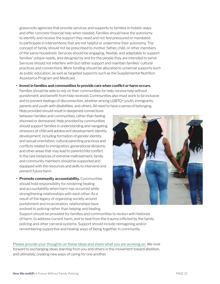grassroots agencies that provide services and supports to families in holistic ways and offer concrete financial help when needed. Families should have the autonomy to identify and receive the support they need and not feel pressured or mandated to participate in interventions that are not helpful or undermine their autonomy. The concept of family should not be prescribed to mother, father, child, or other members of the same household. Services should be engaging, flexible, and adaptable to support families' unique needs, and designed by and for the people they are intended to serve. Services should not interfere with but rather support and maintain families' cultural practices and connections. More funding should be allocated to universal supports such as public education, as well as targeted supports such as the Supplemental Nutrition Assistance Program and Medicaid.

**• Invest in families and communities to provide care when conflict or harm occurs.** Families should be able to rely on their communities for help, receive help without punishment, and benefit from help received. Communities also must work to be inclusive and to prevent feelings of disconnection, whether among LGBTQ+ youth, immigrants, parents and youth with disabilities, and others. All need to have a sense of belonging.

Help provided should result in deepened connections between families and communities, rather than feeling shunned or demeaned. Help provided by communities should support families in understanding and navigating stressors of child and adolescent development; identity development, including formation of gender identity and sexual orientation; cultural parenting practices and conflicts related to immigration; generational divisions; and other areas that may lead to parent/child conflict. In the rare instances of extreme maltreatment, family and community members should be supported and equipped with the resources and skills to intervene and prevent future harm.

**• Promote community accountability.** Communities should hold responsibility for rendering healing and accountability when harm has occurred while strengthening relationships with each other. As a result of the legacy of organizing society around punishment and incarceration, relationships have evolved to policing rather than helping and healing.



Support should be provided for families and communities to reckon with histories of harm, to address current harm, and to heal from the trauma inflicted by the family policing and other carceral systems. Support should include reimagining and/or remembering supportive and healing ways of being together in community.

[Please provide your thoughts on these ideas and share what you are working on.](https://upendmovement.org/share-your-thoughts/) We look forward to exchanging ideas, learning from you and others in this movement toward abolition, and ultimately, creating new ways of caring for one another.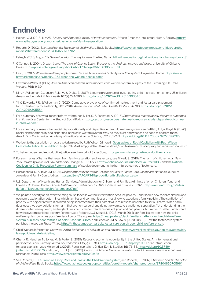#### <span id="page-22-0"></span>**Endnotes**

- <sup>1</sup> Holden, V. M. (2018, July 25). *Slavery and America's legacy of family separation*. African American Intellectual History Society. [https://](https://www.aaihs.org/slavery-and-americas-legacy-of-family-separation/) [www.aaihs.org/slavery-and-americas-legacy-of-family-separation/](https://www.aaihs.org/slavery-and-americas-legacy-of-family-separation/)
- <sup>2</sup> Roberts, D. (2002). *Shattered bonds: The color of child welfare.* Basic Books. [https://www.hachettebookgroup.com/titles/dorothy](https://www.hachettebookgroup.com/titles/dorothy-roberts/shattered-bonds/9780465070596)[roberts/shattered-bonds/9780465070596/](https://www.hachettebookgroup.com/titles/dorothy-roberts/shattered-bonds/9780465070596)
- <sup>3</sup> Estes, N. (2016, August 17). *Native liberation: The way forward*. The Red Nation. <http://therednation.org/native-liberation-the-way-forward/>
- <sup>4</sup> O'Connor, S. (2004). *Orphan trains: The story of Charles Loring Brace and the children he saved and failed*. University of Chicago Press. <https://press.uchicago.edu/ucp/books/book/chicago/O/bo3630532.html>
- <sup>5</sup> Lash, D. (2017). *When the welfare people come: Race and class in the US child protection system*. Haymarket Books. [https://www.](https://www.haymarketbooks.org/books/1052-when-the-welfare-people-come) [haymarketbooks.org/books/1052-when-the-welfare-people-come](https://www.haymarketbooks.org/books/1052-when-the-welfare-people-come)
- <sup>6</sup> Lawrence-Webb, C. (1997). African American children in the modern child welfare system: A legacy of the Flemming rule. *Child Welfare*, 76(1), 9-30.
- <sup>7</sup> Kim, H., Wildeman, C., Jonson-Reid, M., & Drake, B. (2017). Lifetime prevalence of investigating child maltreatment among US children. *American Journal of Public Health*, 107(2), 274-280. <https://doi.org/10.2105/AJPH.2016.303545>
- 8 Yi, Y., Edwards, F. R., & Wildeman, C. (2020). Cumulative prevalence of confirmed maltreatment and foster care placement for US children by race/ethnicity, 2011–2016. *American Journal of Public Health*, 110(5), 704-709. [https://doi.org/10.2105/](https://doi.org/10.2105/AJPH.2019.305554) [AJPH.2019.305554](https://doi.org/10.2105/AJPH.2019.305554)
- <sup>9</sup> For a summary of several recent reform efforts, see Miller, O., & Esenstad, A. (2015). *Strategies to reduce racially disparate outcomes in child welfare.* Center for the Study of Social Policy. [https://cssp.org/resource/strategies-to-reduce-racially-disparate-outcomes](https://cssp.org/resource/strategies-to-reduce-racially-disparate-outcomes-in-child-welfare/)[in-child-welfare/](https://cssp.org/resource/strategies-to-reduce-racially-disparate-outcomes-in-child-welfare/)
- <sup>10</sup> For a summary of research on racial disproportionality and disparities in the child welfare system, see Dettlaff, A. J., & Boyd, R. (2020). Racial disproportionality and disparities in the child welfare system: Why do they exist and what can be done to address them? *ANNALS of the American Academy of Political and Social Science*, 692, 253-274. <https://doi.org/10.1177/0002716220980329>
- <sup>11</sup> We look to the description of racial capitalism used by Ruth Wilson Gilmore in Geographies of Racial Capitalism with Ruth Wilson [Gilmore-An Antipode Foundation film](https://www.youtube.com/watch?v=2CS627aKrJI) (2020). Most simply, Wilson Gilmore states, "Capitalism requires inequality and racism enshrines it."
- <sup>12</sup> To better understand reproductive justice, see the work of Sister Song. <https://www.sistersong.net/reproductive-justice>
- <sup>13</sup> For summaries of harms that result from family separation and foster care, see Trivedi, S. (2019). The harm of child removal. *New York University Review of Law and Social Change*, 43, 523-580. [https://scholarworks.law.ubalt.edu/all\\_fac/1085](https://scholarworks.law.ubalt.edu/all_fac/1085); and the [National](https://www.nccprblog.org/2018/08/and-now-there-are-at-least-five-still.html)  [Coalition for Child Protection Reform summary](https://www.nccprblog.org/2018/08/and-now-there-are-at-least-five-still.html) of studies documenting the harmful outcomes of foster care.
- <sup>14</sup> Puzzanchera, C., & Taylor, M. (2021). *Disproportionality Rates for Children of Color in Foster Care Dashboard*. National Council of Juvenile and Family Court Judges. [https://ncjj.org/AFCARS/Disproportionality\\_Dashboard.aspx](https://ncjj.org/AFCARS/Disproportionality_Dashboard.aspx)
- <sup>15</sup> U.S. Department of Health and Human Services, Administration for Children and Families, Administration on Children, Youth and Families, Children's Bureau. *The AFCARS report: Preliminary FY2019 estimates as of June 23, 2020*. [https://www.acf.hhs.gov/sites/](https://www.acf.hhs.gov/sites/default/files/documents/cb/afcarsreport27.pdf) [default/files/documents/cb/afcarsreport27.pdf](https://www.acf.hhs.gov/sites/default/files/documents/cb/afcarsreport27.pdf)
- <sup>16</sup> We point to poverty as an overwhelming cause for child welfare intervention because poverty underscores how racial capitalism and economic exploitation determines which families and communities are most likely to experience family policing. The conflation of poverty with neglect results in children being separated from their parents due to reasons unrelated to serious harm. When harm does occur, we seek solutions for harm that are non-carceral and do not rely on state-sanctioned separation. Yet understanding the difference between poverty and neglect is not to further entrench binaries of good and bad parents, but rather to better understand how the system punishes poverty. For more, see Roberts, D. & Sangoi, L. (2018, March 26). Black families matter: How the child welfare system punishes poor families of color. *The Appeal*. [https://theappeal.org/black-families-matter-how-the-child-welfare](https://theappeal.org/black-families-matter-how-the-child-welfare-system-punishes-poor-families-of-color-33ad20e2882e/)[system-punishes-poor-families-of-color-33ad20e2882e/](https://theappeal.org/black-families-matter-how-the-child-welfare-system-punishes-poor-families-of-color-33ad20e2882e/) and Schenwar, M. & Law, V. (2020, July 31). How the foster care system punishes the poor. *In These Times*. <https://inthesetimes.com/article/foster-care-punish-poor-child-welfare-prison>.
- <sup>17</sup> Child Welfare Information Gateway. (2019). *Definitions of child abuse and neglect*. [https://www.childwelfare.gov/topics/systemwide/](https://www.childwelfare.gov/topics/systemwide/laws-policies/statutes/define/) [laws-policies/statutes/define/](https://www.childwelfare.gov/topics/systemwide/laws-policies/statutes/define/)
- <sup>18</sup> Chetty, R., Hendren, N., Jones, M., & Porter, S. (2019). Race and economic opportunity in the United States: An intergenerational perspective. *The Quarterly Journal of Economics*, 135(2) 711 783. <https://doi.org/10.1093/qje/qjz042>. For an introduction to racial capitalism, see Melamed, J. (2015). Racial capitalism. Critical Ethnic Studies, 1(1), 76-85. [https://doi.org/10.5749/](https://doi.org/10.5749/jcritethnstud.1.1.0076) [jcritethnstud.1.1.0076](https://doi.org/10.5749/jcritethnstud.1.1.0076), and Quan, H. L. T. (Ed.). (2019). *Cedric J. Robinson: On racial capitalism*, Black internationalism, and cultures of *resistance*. Pluto Press. <https://www.jstor.org/stable/j.ctvr0qs8p>
- <sup>19</sup> See Roberts, D. [PBS Frontline Essay: Race and Class in the Child Welfare System](https://www.pbs.org/wgbh/pages/frontline/shows/fostercare/caseworker/roberts.html), and Roberts, D. (2002). *Shattered bonds: The color of child welfare.* Basic Books. <https://www.hachettebookgroup.com/titles/dorothy-roberts/shattered-bonds/9780465070596/>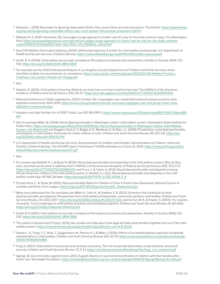- <sup>20</sup> Edwards, L. (2018, December 5). Ignoring reasonable efforts: How courts fail to promote prevention. *The Imprint*. [https://imprintnews.](https://imprintnews.org/top-stories/ignoring-reasonable-efforts-why-court-system-fail-promote-prevention/32974) [org/top-stories/ignoring-reasonable-efforts-why-court-system-fail-promote-prevention/32974](https://imprintnews.org/top-stories/ignoring-reasonable-efforts-why-court-system-fail-promote-prevention/32974)
- <sup>21</sup> Webster, R. A. (2019, November 25). One judge's tough approach to foster care: It's only for the really extreme cases. *The Washington Post*. [https://www.washingtonpost.com/national/one-judges-tough-approach-to-foster-care-its-only-for-the-really-extreme](https://www.washingtonpost.com/national/one-judges-tough-approach-to-foster-care-its-only-for-the-really-extreme-cases/2019/11/24/bd2dd322-0a4c-11ea-97ac-a7ccc8dd1ebc_story.html)[cases/2019/11/24/bd2dd322-0a4c-11ea-97ac-a7ccc8dd1ebc\\_story.html](https://www.washingtonpost.com/national/one-judges-tough-approach-to-foster-care-its-only-for-the-really-extreme-cases/2019/11/24/bd2dd322-0a4c-11ea-97ac-a7ccc8dd1ebc_story.html)
- <sup>22</sup> See Child Welfare Information Gateway. (2020). *Differential response: A primer for child welfare professionals*. U.S. Department of Health and Human Services, Children's Bureau. [https://www.childwelfare.gov/pubPDFs/differential\\_response.pdf](https://www.childwelfare.gov/pubPDFs/differential_response.pdf)
- <sup>23</sup> Smith, B. D. (2008). Child welfare service plan compliance: Perceptions of parents and caseworkers. *Families In Society, 89*(4), 521- 532. <https://doi.org/10.1606/1044-3894.3818>
- <sup>24</sup> For example see the 2012 Institutional Analysis of Los Angeles County's Department of Children and Family Services, which identified multiple structural barriers to compliance: [https://cssp.org/wp-content/uploads/2021/02/Child-Welfare-Practice\\_](https://cssp.org/wp-content/uploads/2021/02/Child-Welfare-Practice_Creating-a-Successful-Climate-for-Change.pdf) [Creating-a-Successful-Climate-for-Change.pdf](https://cssp.org/wp-content/uploads/2021/02/Child-Welfare-Practice_Creating-a-Successful-Climate-for-Change.pdf)
- $25$  Ibid.
- <sup>26</sup> Haskins, R. (2020). Child welfare financing: What do we fund, how, and what could be improved. T*he ANNALS of the American Academy of Political and Social Science, 692*, 50-67. <https://journals.sagepub.com/doi/full/10.1177/0002716220970909>
- <sup>27</sup> National Conference of State Legislatures. (2020, October 30). *Congregate care, residential treatment and group home state legislative enactments 2014-2019*. [https://www.ncsl.org/research/human-services/congregate-care-and-group-home-state](https://www.ncsl.org/research/human-services/congregate-care-and-group-home-state-legislative-enactments.aspx)[legislative-enactments.aspx](https://www.ncsl.org/research/human-services/congregate-care-and-group-home-state-legislative-enactments.aspx)
- <sup>28</sup> Adoption and Safe Families Act of 1997, Public Law 105-89 (1997). [https://www.congress.gov/105/plaws/publ89/PLAW-105publ89.](https://www.congress.gov/105/plaws/publ89/PLAW-105publ89.pdf) [pdf](https://www.congress.gov/105/plaws/publ89/PLAW-105publ89.pdf)
- <sup>29</sup> See for example Miller, M. (2008). *Racial disproportionality in Washington state's child welfare system*. Washington State Institute for Public Policy. [https://www.wsipp.wa.gov/ReportFile/1018/Wsipp\\_Racial-Disproportionality-in-Washington-States-Child-Welfare-](https://www.wsipp.wa.gov/ReportFile/1018/Wsipp_Racial-Disproportionality-in-Washington-States-Child-Welfare-System_Full-Report.pdf)[System\\_Full-Report.pdf](https://www.wsipp.wa.gov/ReportFile/1018/Wsipp_Racial-Disproportionality-in-Washington-States-Child-Welfare-System_Full-Report.pdf); and Huggins-Hoyt, K. Y., Briggs, H. E., Mowbray, O., & Allen, J. L. (2019). Privatization, racial disproportionality and disparity in child welfare: Outcomes for foster children of color. *Children and Youth Services Review, 99*, 125-131. [https://doi.](https://doi.org/10.1016/j.childyouth.2019.01.041) [org/10.1016/j.childyouth.2019.01.041](https://doi.org/10.1016/j.childyouth.2019.01.041)
- <sup>30</sup> U.S. Department of Health and Human Services, Administration for Children and Families, Administration on Children, Youth and Families, Children's Bureau. *The AFCARS report: Preliminary FY2019 estimates as of June 23, 2020*. [https://www.acf.hhs.gov/sites/](https://www.acf.hhs.gov/sites/default/files/documents/cb/afcarsreport27.pdf) [default/files/documents/cb/afcarsreport27.pdf](https://www.acf.hhs.gov/sites/default/files/documents/cb/afcarsreport27.pdf)
- $31$  Ibid.
- 32 For reviews see Dettlaff, A. J., & Boyd, R. (2020). Racial disproportionality and disparities in the child welfare system: Why do they exist, and what can be done to address them? *ANNALS of the American Academy of Political and Social Science, 692*, 253-274. <https://doi.org/10.1177/0002716220980329>; and Pryce, J., & Yelick, A. (2021). Racial disproportionality and disparities among African American children in the child welfare system. In Dettlaff, A. J. (Ed.), *Racial disproportionality and disparities in the child welfare system* (pp. 45-68). Springer. [https://doi.org/10.1007/978-3-030-54314-3\\_4](https://doi.org/10.1007/978-3-030-54314-3_4)
- <sup>33</sup> Puzzanchera, C., & Taylor, M. (2021). *Disproportionality Rates for Children of Color in Foster Care Dashboard*. National Council of Juvenile and Family Court Judges. [https://ncjj.org/AFCARS/Disproportionality\\_Dashboard.aspx](https://ncjj.org/AFCARS/Disproportionality_Dashboard.aspx)
- 34 Many have addressed this. For examples see: Miller, K., Cahn, K., & Orellana, E. R. (2012). Dynamics that contribute to racial disproportionality and disparity: Perspectives from child welfare professionals, community partners, and families. *Children and Youth Services Review, 34*, 2201-2207. <https://doi.org/10.1016/j.childyouth.2012.07.022>; and Eamon, M. K., & Kopels, S. (2004). 'For reasons of poverty': Court challenges to child welfare practices and mandated programs. *Children and Youth Services Review, 26*, 821-836. <https://doi.org/10.1016/j.childyouth.2004.02.023>.
- <sup>35</sup> Smith, B. D. (2010). Child welfare service plan compliance: Perceptions of parents and caseworkers. *Families In Society, 89*(4), 521- 532. <https://doi.org/10.1606/1044-3894.3818>.
- <sup>36</sup> The Justice in Government Project. (2021). *Key studies and data about how legal aid helps keep families together and out of the child welfare system*. <https://www.american.edu/spa/jpo/toolkit/upload/foster-care-8-8-19.pdf>
- 37 Gerber, L. A., Pang, Y. C., Ross, T., Guggenheim, M., Pecora, P. J., & Miller, J. (2019). Effects of an interdisciplinary approach to parental representation in child welfare. *Children and Youth Services Review, 102,* 42-55. [https://www.sciencedirect.com/science/article/pii/](https://www.sciencedirect.com/science/article/pii/S019074091930088X) [S019074091930088X](https://www.sciencedirect.com/science/article/pii/S019074091930088X).
- 38 Fong, K. (2017). Child welfare involvement and contexts of poverty: The role of parental adversities, social networks, and social services. Children and Youth Services Review, 72, 5-13. [https://scholar.harvard.edu/files/kfong/files/fong\\_cysr\\_postprint.pdf](https://scholar.harvard.edu/files/kfong/files/fong_cysr_postprint.pdf)
- <sup>39</sup> Ogongi, W., & Community Legal Services. (2012, August). *Barriers to successful reunification of children with their families after foster care*. Stoneleigh Foundation. <https://stoneleighfoundation.org/wp-content/uploads/2018/02/Ogongi.Moving-the-Dial.pdf>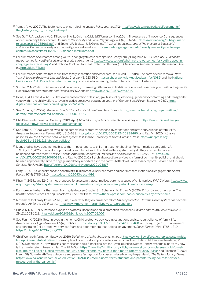- <sup>40</sup> Yamat, A. M. (2020). The foster care to prison pipeline. *Justice Policy Journal*, *17*(2). [http://www.cjcj.org/uploads/cjcj/documents/](http://www.cjcj.org/uploads/cjcj/documents/the_foster_care_to_prison_pipeline.pdf) the foster care to prison pipeline.pdf
- 41 See Goff, P. A., Jackson, M. C., Di Leone, B. A. L., Culotta, C. M., & DiTomasso, N. A. (2014). The essence of innocence: Consequences of dehumanizing Black children. *Journal of Personality and Social Psychology, 106*(4), 526-545. [https://www.apa.org/pubs/journals/](https://www.apa.org/pubs/journals/releases/psp-a0035663.pdf) [releases/psp-a0035663.pdf](https://www.apa.org/pubs/journals/releases/psp-a0035663.pdf); and Epstein, R., Blake, J. J., & Gonzalez, T. (n.d.). *Girlhood interrupted: The erasure of Black girls' childhood.* Center on Poverty and Inequality, Georgetown Law. [https://www.law.georgetown.edu/poverty-inequality-center/wp](https://www.law.georgetown.edu/poverty-inequality-center/wp-content/uploads/sites/14/2017/08/girlhood-interrupted.pdf)[content/uploads/sites/14/2017/08/girlhood-interrupted.pdf](https://www.law.georgetown.edu/poverty-inequality-center/wp-content/uploads/sites/14/2017/08/girlhood-interrupted.pdf)
- <sup>42</sup> For summaries of outcomes among youth in congregate care settings, see Casey Family Programs. (2018, February 5). *What are the outcomes for youth placed in congregate care settings?* [https://www.casey.org/what-are-the-outcomes-for-youth-placed-in](https://www.casey.org/what-are-the-outcomes-for-youth-placed-in-congregate-care-settings/)[congregate-care-settings/](https://www.casey.org/what-are-the-outcomes-for-youth-placed-in-congregate-care-settings/); and National Coalition for Child Protection Reform. (n.d.). *Residential treatment: What the research tells us*. <http://bit.ly/RTCfail>
- <sup>43</sup> For summaries of harms that result from family separation and foster care, see Trivedi, S. (2019). The harm of child removal. *New*  York University Review of Law and Social Change, 43, 523-580. [https://scholarworks.law.ubalt.edu/all\\_fac/1085](https://scholarworks.law.ubalt.edu/all_fac/1085); and the National [Coalition for Child Protection Reform summary](https://www.nccprblog.org/2018/08/and-now-there-are-at-least-five-still.html) of studies documenting the harmful outcomes of foster care.
- 44 Shrifter, C. N. (2012). Child welfare and delinquency: Examining differences in first-time referrals of crossover youth within the juvenile justice system. *Dissertations and Theses by PDXScholar*. <https://doi.org/10.15760/etd.649>
- <sup>45</sup> Irvine, A., & Canfield, A. (2016). The overrepresentation of lesbian, gay, bisexual, questioning, gender nonconforming and transgender youth within the child welfare to juvenile justice crossover population. *Journal of Gender, Social Policy & the Law, 24*(2). [http://](http://digitalcommons.wcl.american.edu/jgspl/vol24/iss2/2) [digitalcommons.wcl.american.edu/jgspl/vol24/iss2/2](http://digitalcommons.wcl.american.edu/jgspl/vol24/iss2/2)
- <sup>46</sup> See Roberts, D. (2002). *Shattered bonds: The color of child welfare*. Basic Books. [https://www.hachettebookgroup.com/titles/](https://www.hachettebookgroup.com/titles/dorothy-roberts/shattered-bonds/9780465070596/) [dorothy-roberts/shattered-bonds/9780465070596/](https://www.hachettebookgroup.com/titles/dorothy-roberts/shattered-bonds/9780465070596/)
- <sup>47</sup> Child Welfare Information Gateway. (2019, April). *Mandatory reporters of child abuse and neglect*. [https://www.childwelfare.gov/](https://www.childwelfare.gov/topics/systemwide/laws-policies/statutes/manda/) [topics/systemwide/laws-policies/statutes/manda/](https://www.childwelfare.gov/topics/systemwide/laws-policies/statutes/manda/)
- 48 See Fong, K. (2020). Getting eyes in the home: Child protective services investigations and state surveillance of family life. *American Sociological Review, 85*(4), 610-638. <https://doi.org/10.1177/0003122420938460>; and Raz, M. (2020). *Abusive policies: How the American child welfare system lost its way*. University of North Carolina Press. [https://uncpress.org/](https://uncpress.org/book/9781469661216/abusive-policies/) [book/9781469661216/abusive-policies/](https://uncpress.org/book/9781469661216/abusive-policies/)
- 49 Many studies have documented biases that impact reports to child maltreatment hotlines. For summaries, see Dettlaff, A. J., & Boyd, R. (2020). Racial disproportionality and disparities in the child welfare system: Why do they exist, and what can be done to address them? *ANNALS of the American Academy of Political and Social Science, 692*, 253-274. [https://doi.](https://doi.org/10.1177/0002716220980329) [org/10.1177/0002716220980329](https://doi.org/10.1177/0002716220980329); and Raz, M. (2020). Calling child protective services is a form of community policing that should be used appropriately: Time to engage mandatory reporters as to the harmful effects of unnecessary reports. *Children and Youth Services Review, 110*. <https://doi.org/10.1016/j.childyouth.2020.104817>
- <sup>50</sup> Fong, K. (2019). Concealment and constraint: Child protective services fears and poor mothers' institutional engagement. *Social Forces*, 97(4), 1785–1810. <https://doi.org/10.1093/sf/soy093>
- <sup>51</sup> Khan, Y. (2019, June 12). Changes proposed for a system that stigmatizes parents accused of child neglect. *WNYC News*. [https://www.](https://www.wnyc.org/story/state-system-meant-keep-children-safe-actually-hinders-family-stability-advocates-say/) [wnyc.org/story/state-system-meant-keep-children-safe-actually-hinders-family-stability-advocates-say/](https://www.wnyc.org/story/state-system-meant-keep-children-safe-actually-hinders-family-stability-advocates-say/)
- <sup>52</sup> For more on the harms that result from registries, see Chapter 3 in Schenwar, M., & Law, V. (2020). *Prison by any other name: The harmful consequences of popular reforms*. The New Press. <https://thenewpress.com/books/prison-by-any-other-name>
- <sup>53</sup> Movement for Family Power. (2020, June). "*Whatever they do, I'm her comfort, I'm her protector." How the foster system has become ground zero for the U.S. drug war*. <https://www.movementforfamilypower.org/ground-zero>
- <sup>54</sup> Burke, K. D. (2007). Substance-exposed newborns: Hospital and child protection responses. *Children and Youth Services Review, 29*(12), 1503-1519. <https://doi.org/10.1016/j.childyouth.2007.06.007>
- <sup>55</sup> See Fong, K. (2020). Getting eyes in the home: Child protective services investigations and state surveillance of family life. *American Sociological Review*, 85(4), 610-638. <https://doi.org/10.1177/0003122420938460>; and Fong, K. (2019). Concealment and constraint: Child protective services fears and poor mothers' institutional engagement. *Social Forces, 97*(4), 1785–1810. <https://doi.org/10.1093/sf/soy093>
- <sup>56</sup> Child Welfare Information Gateway. (2019). *Definitions of child abuse and neglect*. [https://www.childwelfare.gov/topics/systemwide/](https://www.childwelfare.gov/topics/systemwide/laws-policies/statutes/define/) [laws-policies/statutes/define/](https://www.childwelfare.gov/topics/systemwide/laws-policies/statutes/define/). For examples of how this disproportionately impacts Black and Latinx children, see Keierleber, M. (2020, December 14). How missing zoom classes could funnel kids into the juvenile justice system – and why some experts say now is the time to reform truancy rules. *The 74 Million*. [https://www.the74million.org/article/how-missing-zoom-classes-could-funnel](https://www.the74million.org/article/how-missing-zoom-classes-could-funnel-kids-into-the-juvenile-justice-system-and-why-some-experts-say-now-is-the-time-to-reform-truancy-rules/)[kids-into-the-juvenile-justice-system-and-why-some-experts-say-now-is-the-time-to-reform-truancy-rules/](https://www.the74million.org/article/how-missing-zoom-classes-could-funnel-kids-into-the-juvenile-justice-system-and-why-some-experts-say-now-is-the-time-to-reform-truancy-rules/); and Richman, T. (2021, March 31). Some North Texas students and parents facing court for classes missed during the pandemic. *The Dallas Morning News*. [https://www.dallasnews.com/news/education/2021/03/31/some-north-texas-students-and-parents-facing-court-for-classes](https://www.dallasnews.com/news/education/2021/03/31/some-north-texas-students-and-parents-facing-court-for-classes-missed-during-the-pandemic/)[missed-during-the-pandemic/](https://www.dallasnews.com/news/education/2021/03/31/some-north-texas-students-and-parents-facing-court-for-classes-missed-during-the-pandemic/)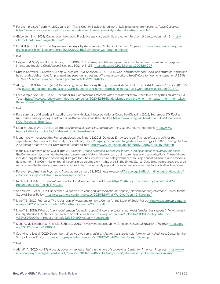- <sup>57</sup> For example, see Aslam, M. (2021, June 1). In Travis County, Black children more likely to be taken from parents. *Texas Observer*. <https://www.texasobserver.org/in-travis-county-black-children-more-likely-to-be-taken-from-parents/>
- <sup>58</sup> Glaberson, S. K. (2019). Coding over the cracks: Predictive analytics and child protection. *Fordham Urban Law Journal,* 46. [https://](https://ir.lawnet.fordham.edu/ulj/vol46/iss2/3) [ir.lawnet.fordham.edu/ulj/vol46/iss2/3](https://ir.lawnet.fordham.edu/ulj/vol46/iss2/3)
- <sup>59</sup> Pearl, B. (2018, June 27). *Ending the war on drugs: By the numbers*. Center for American Progress. [https://www.americanprogress.](https://www.americanprogress.org/issues/criminal-justice/reports/2018/06/27/452819/ending-war-drugs-numbers) [org/issues/criminal-justice/reports/2018/06/27/452819/ending-war-drugs-numbers/](https://www.americanprogress.org/issues/criminal-justice/reports/2018/06/27/452819/ending-war-drugs-numbers)

 $60$  Ibid.

- $61$  Hogan, T. M. S., Myers, B. J., & Elswick, R. K. (2006). Child abuse potential among mothers of substance-exposed and nonexposed infants and toddlers. *Child Abuse & Neglect, 30*(2), 145-156. <https://doi.org/10.1016/j.chiabu.2005.10.007>
- <sup>62</sup> Duff, P., Shoveller, J., Chettiar, J., Feng, C., Nicoletti, R., & Shannon, K. (2015). Sex work and motherhood: Social and structural barriers to health and social services for pregnant and parenting street and off-street sex workers. *Health Care for Women International, 36*(9), 1039-1055. <https://www.ncbi.nlm.nih.gov/pmc/articles/PMC4469630/>
- <sup>63</sup> Albright, E., & D'Adamo, K. (2017). Decreasing human trafficking through sex work decriminalization. *AMA Journal of Ethics, 19*(1), 122- 126. <https://journalofethics.ama-assn.org/article/decreasing-human-trafficking-through-sex-work-decriminalization/2017-01>
- <sup>64</sup> For example, see Hirt, S. (2020, December 16). Florida blames mothers when men batter them then takes away their children. *USA Today*. [https://www.usatoday.com/in-depth/story-series/2020/12/16/florida-blames-mothers-when-men-batter-them-then-takes](https://www.usatoday.com/in-depth/story-series/2020/12/16/florida-blames-mothers-when-men-batter-them-then-takes-their-children/6507973002/)[their-children/6507973002/](https://www.usatoday.com/in-depth/story-series/2020/12/16/florida-blames-mothers-when-men-batter-them-then-takes-their-children/6507973002/)

<sup>65</sup> Ibid.

- <sup>66</sup> For a summary of disparities impacting parents with disabilities, see National Council on Disability. (2012, September 27). *Rocking the cradle: Ensuring the rights of parents with disabilities and their children*. [https://www.ncd.gov/sites/default/files/Documents/](https://www.ncd.gov/sites/default/files/Documents/NCD_Parenting_508_0.pdf) [NCD\\_Parenting\\_508\\_0.pdf](https://www.ncd.gov/sites/default/files/Documents/NCD_Parenting_508_0.pdf)
- <sup>67</sup> Kaba, M. (2021). We do this 'til we free us: *Abolitionist organizing and transforming justice.* Haymarket Books. [https://www.](https://www.haymarketbooks.org/books/1664-we-do-this-til-we-free-us) [haymarketbooks.org/books/1664-we-do-this-til-we-free-us](https://www.haymarketbooks.org/books/1664-we-do-this-til-we-free-us)
- <sup>68</sup> Many have written about this. For recent pieces, see Minoff, E. (2018, October). *Entangled roots: The role of race in policies that separate families.* Center for the Study of Social Policy. <https://cssp.org/resource/entangled-roots> and Briggs, L. (2020). *Taking children: A history of American terror.* University of California Press. <https://www.ucpress.edu/book/9780520385771/taking-children>
- <sup>69</sup> In the U. S. Commission on Civil Rights 2018 report, *[Broken promises: Continuing federal funding shortfall for Native Americans](https://www.usccr.gov/pubs/2018/12-20-Broken-Promises.pdf)*, the Commission documented the federal government's historic failure to carry out its promises and trust obligations. These failures included longstanding and continuing disregard for tribes' infrastructure, self-governance, housing, education, health, and economic development. The Commission found these failures created a civil rights crisis in the United States. Despite some progress, the crisis remains, and the federal government continues to fail to adequately support the social and economic welfare of Native Americans.
- $70$  For example, American Psychiatric Association's January 28, 2021 news release, APA's apology to Black, Indigenous and people of [color for its support of structural racism in psychiatry](https://www.psychiatry.org/newsroom/apa-apology-for-its-support-of-structural-racism-in-psychiatry).
- <sup>71</sup> Ritchie, A. et al. (2019). *Reparations now toolkit*. Movement for Black Lives. [https://m4bl.org/wp-content/uploads/2020/05/](https://m4bl.org/wp-content/uploads/2020/05/Reparations-Now-Toolkit-FINAL.pdf) [Reparations-Now-Toolkit-FINAL.pdf](https://m4bl.org/wp-content/uploads/2020/05/Reparations-Now-Toolkit-FINAL.pdf)
- <sup>72</sup> See Minoff, E. et al. (2020, December). *What we owe young children: An anti-racist policy platform for early childhood.* Center for the Study of Social Policy. <https://cssp.org/wp-content/uploads/2020/12/What-We-Owe-Young-Children.pdf>.
- <sup>73</sup> Minoff, E. (2020, February). *The racist roots of work requirements*. Center for the Study of Social Policy. [https://cssp.org/wp-content/](https://cssp.org/wp-content/uploads/2020/02/Racist-Roots-of-Work-Requirements-CSSP-1.pdf) [uploads/2020/02/Racist-Roots-of-Work-Requirements-CSSP-1.pdf](https://cssp.org/wp-content/uploads/2020/02/Racist-Roots-of-Work-Requirements-CSSP-1.pdf)
- <sup>74</sup> Minoff, E. (2019). *What do "work requirements" actually require? A look at programs that meet families' basic needs in Montgomery County, Maryland.* Center for the Study of Social Policy. [https://cssp.org/wp-content/uploads/2019/05/Policy-What-do-](https://cssp.org/wp-content/uploads/2019/05/Policy-What-do-%E2%80%9CWork-Requirements%E2%80%9D-Actually-Require.pdf) [%E2%80%9CWork-Requirements%E2%80%9D-Actually-Require.pdf](https://cssp.org/wp-content/uploads/2019/05/Policy-What-do-%E2%80%9CWork-Requirements%E2%80%9D-Actually-Require.pdf)
- <sup>75</sup> Mani, A., Mullainathan, S., Shafir, E., & Zhao, J. (2013). Poverty impedes cognitive function. *Science, 341*(6149), 976-980. [https://doi.](https://doi.org/10.1126/science.1238041) [org/10.1126/science.1238041](https://doi.org/10.1126/science.1238041)
- <sup>76</sup> See Minoff, E. et al. (2020, December). *What we owe young children: An anti-racist policy platform for early childhood.* Center for the Study of Social Policy. <https://cssp.org/wp-content/uploads/2020/12/What-We-Owe-Young-Children.pdf>.

 $77$  Ibid.

<sup>78</sup> Altiraifi, A. (2020, April 7). *A deadly poverty trap: Asset limits in the time of coronavirus*. Center for American Progress. [https://www.](https://www.americanprogress.org/issues/disability/news/2020/04/07/482736/deadly-poverty-trap-asset-limits-time-coronavirus/ ) [americanprogress.org/issues/disability/news/2020/04/07/482736/deadly-poverty-trap-asset-limits-time-coronavirus/](https://www.americanprogress.org/issues/disability/news/2020/04/07/482736/deadly-poverty-trap-asset-limits-time-coronavirus/ )